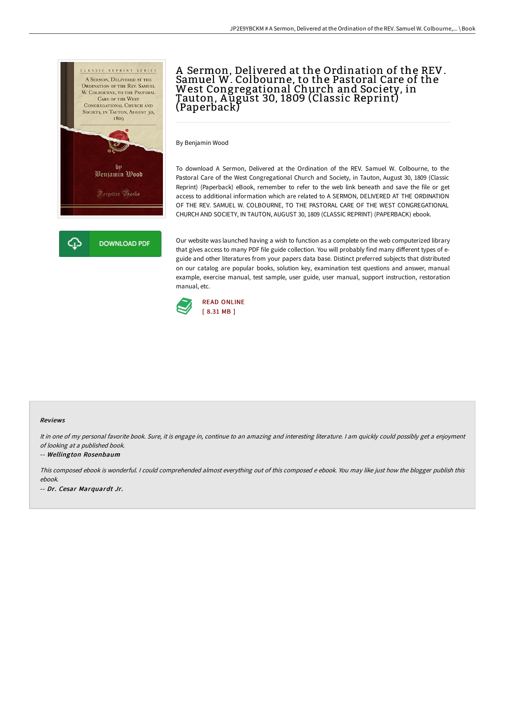

# A Sermon, Delivered at the Ordination of the REV. Samuel W. Colbourne, to the Pastoral Care of the West Congregational Church and Society, in Tauton, A ugust 30, 1809 (Classic Reprint) (Paperback)

By Benjamin Wood

To download A Sermon, Delivered at the Ordination of the REV. Samuel W. Colbourne, to the Pastoral Care of the West Congregational Church and Society, in Tauton, August 30, 1809 (Classic Reprint) (Paperback) eBook, remember to refer to the web link beneath and save the file or get access to additional information which are related to A SERMON, DELIVERED AT THE ORDINATION OF THE REV. SAMUEL W. COLBOURNE, TO THE PASTORAL CARE OF THE WEST CONGREGATIONAL CHURCH AND SOCIETY, IN TAUTON, AUGUST 30, 1809 (CLASSIC REPRINT) (PAPERBACK) ebook.

Our website was launched having a wish to function as a complete on the web computerized library that gives access to many PDF file guide collection. You will probably find many different types of eguide and other literatures from your papers data base. Distinct preferred subjects that distributed on our catalog are popular books, solution key, examination test questions and answer, manual example, exercise manual, test sample, user guide, user manual, support instruction, restoration manual, etc.



#### Reviews

It in one of my personal favorite book. Sure, it is engage in, continue to an amazing and interesting literature. I am quickly could possibly get a enjoyment of looking at <sup>a</sup> published book.

### -- Wellington Rosenbaum

This composed ebook is wonderful. <sup>I</sup> could comprehended almost everything out of this composed <sup>e</sup> ebook. You may like just how the blogger publish this ebook.

-- Dr. Cesar Marquardt Jr.